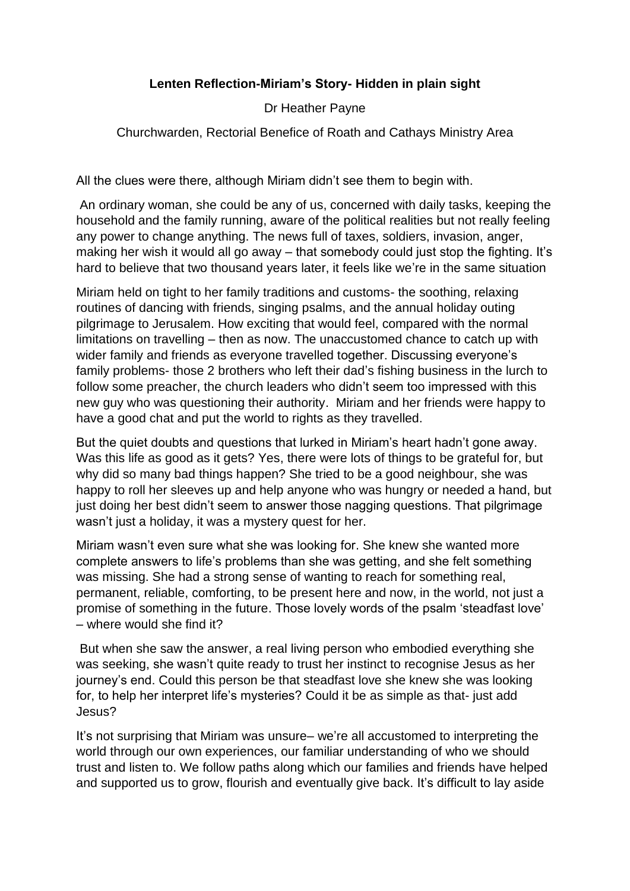## **Lenten Reflection-Miriam's Story- Hidden in plain sight**

Dr Heather Payne

Churchwarden, Rectorial Benefice of Roath and Cathays Ministry Area

All the clues were there, although Miriam didn't see them to begin with.

An ordinary woman, she could be any of us, concerned with daily tasks, keeping the household and the family running, aware of the political realities but not really feeling any power to change anything. The news full of taxes, soldiers, invasion, anger, making her wish it would all go away – that somebody could just stop the fighting. It's hard to believe that two thousand years later, it feels like we're in the same situation

Miriam held on tight to her family traditions and customs- the soothing, relaxing routines of dancing with friends, singing psalms, and the annual holiday outing pilgrimage to Jerusalem. How exciting that would feel, compared with the normal limitations on travelling – then as now. The unaccustomed chance to catch up with wider family and friends as everyone travelled together. Discussing everyone's family problems- those 2 brothers who left their dad's fishing business in the lurch to follow some preacher, the church leaders who didn't seem too impressed with this new guy who was questioning their authority. Miriam and her friends were happy to have a good chat and put the world to rights as they travelled.

But the quiet doubts and questions that lurked in Miriam's heart hadn't gone away. Was this life as good as it gets? Yes, there were lots of things to be grateful for, but why did so many bad things happen? She tried to be a good neighbour, she was happy to roll her sleeves up and help anyone who was hungry or needed a hand, but just doing her best didn't seem to answer those nagging questions. That pilgrimage wasn't just a holiday, it was a mystery quest for her.

Miriam wasn't even sure what she was looking for. She knew she wanted more complete answers to life's problems than she was getting, and she felt something was missing. She had a strong sense of wanting to reach for something real, permanent, reliable, comforting, to be present here and now, in the world, not just a promise of something in the future. Those lovely words of the psalm 'steadfast love' – where would she find it?

But when she saw the answer, a real living person who embodied everything she was seeking, she wasn't quite ready to trust her instinct to recognise Jesus as her journey's end. Could this person be that steadfast love she knew she was looking for, to help her interpret life's mysteries? Could it be as simple as that- just add Jesus?

It's not surprising that Miriam was unsure– we're all accustomed to interpreting the world through our own experiences, our familiar understanding of who we should trust and listen to. We follow paths along which our families and friends have helped and supported us to grow, flourish and eventually give back. It's difficult to lay aside